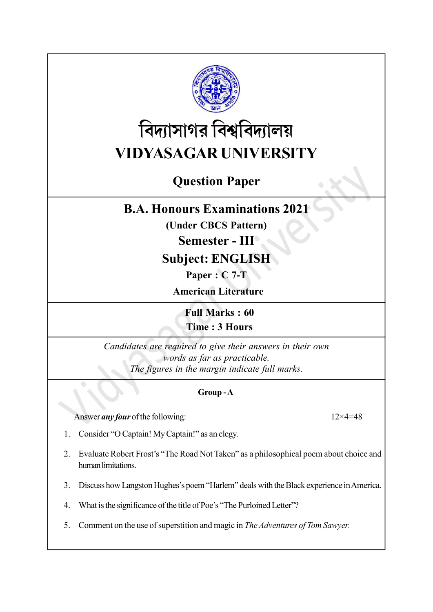

# বিদ্যাসাগর বিশ্ববিদ্যালয় VIDYASAGAR UNIVERSITY

# Question Paper

## B.A. Honours Examinations 2021

(Under CBCS Pattern)

#### Semester - III

### Subject: ENGLISH

Paper : C 7-T

American Literature

Full Marks : 60 Time : 3 Hours

Candidates are required to give their answers in their own words as far as practicable. The figures in the margin indicate full marks.

#### Group - A

Answer *any four* of the following: 12×4=48

- 1. Consider "O Captain! My Captain!" as an elegy.
- 2. Evaluate Robert Frost's "The Road Not Taken" as a philosophical poem about choice and human limitations.
- 3. Discuss how Langston Hughes's poem "Harlem" deals with the Black experience in America.
- 4. What is the significance of the title of Poe's "The Purloined Letter"?
- 5. Comment on the use of superstition and magic in The Adventures of Tom Sawyer.